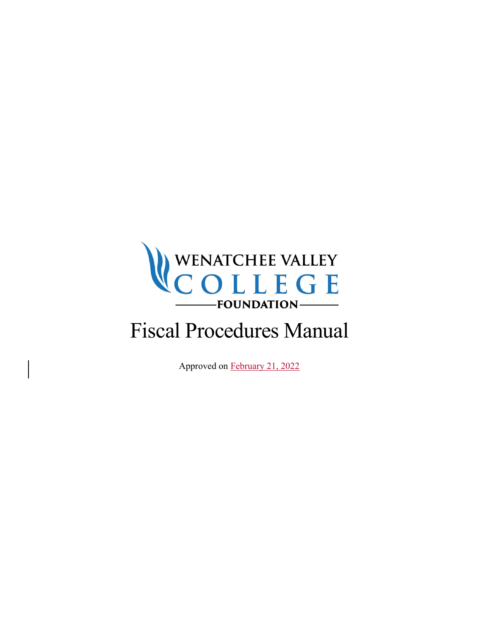

# Fiscal Procedures Manual

Approved on February 21, 2022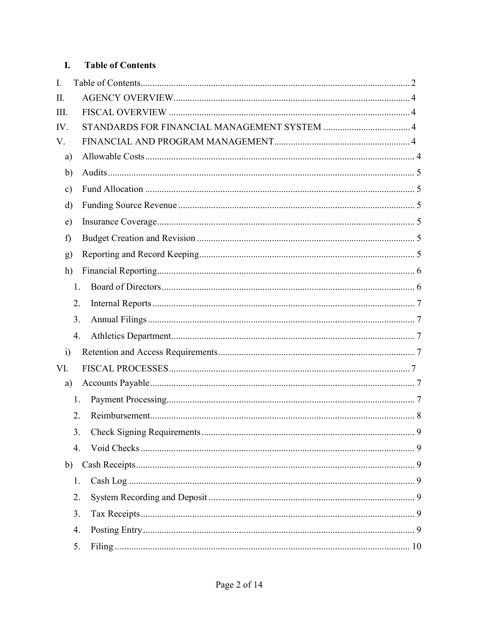#### $\mathbf{I}$ . **Table of Contents**

| I.            |    |  |
|---------------|----|--|
| II.           |    |  |
| III.          |    |  |
| IV.           |    |  |
| V.            |    |  |
| a)            |    |  |
| $\mathbf{b}$  |    |  |
| $\mathbf{c})$ |    |  |
| $\rm d)$      |    |  |
| e)            |    |  |
| f)            |    |  |
| g)            |    |  |
| h)            |    |  |
|               | 1. |  |
|               | 2. |  |
|               | 3. |  |
|               | 4. |  |
| $\ddot{i}$    |    |  |
| VI.           |    |  |
| a)            |    |  |
|               | 1. |  |
|               | 2. |  |
|               | 3. |  |
|               | 4. |  |
| b)            |    |  |
|               | 1. |  |
|               | 2. |  |
|               | 3. |  |
|               | 4. |  |
|               | 5. |  |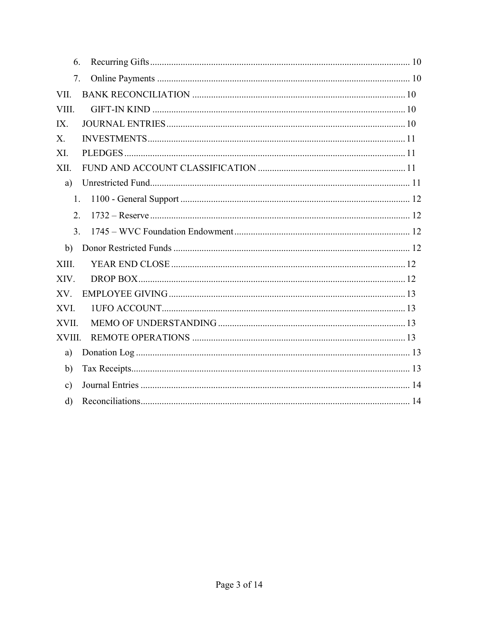| 6.            |
|---------------|
| 7.            |
| VII.          |
| VIII.         |
| IX.           |
| X.            |
| XI.           |
| XII.          |
| a)            |
| 1.            |
| 2.            |
| 3.            |
| b)            |
| XIII.         |
| XIV.          |
| XV.           |
| XVI.          |
| XVII.         |
| XVIII.        |
| a)            |
| b)            |
| $\mathbf{c})$ |
| $\mathbf{d}$  |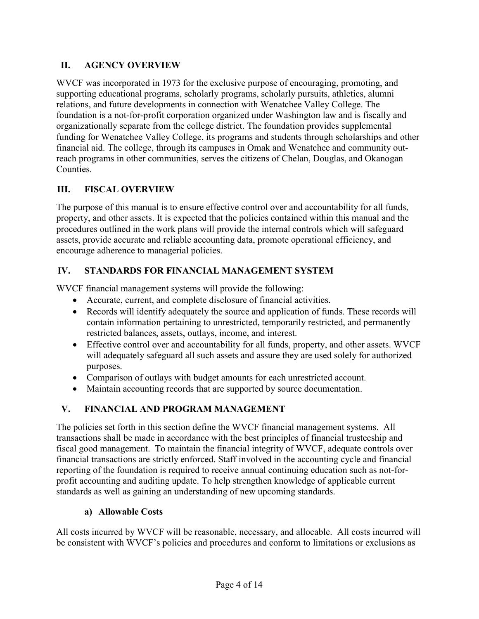# II. AGENCY OVERVIEW

WVCF was incorporated in 1973 for the exclusive purpose of encouraging, promoting, and supporting educational programs, scholarly programs, scholarly pursuits, athletics, alumni relations, and future developments in connection with Wenatchee Valley College. The foundation is a not-for-profit corporation organized under Washington law and is fiscally and organizationally separate from the college district. The foundation provides supplemental funding for Wenatchee Valley College, its programs and students through scholarships and other financial aid. The college, through its campuses in Omak and Wenatchee and community outreach programs in other communities, serves the citizens of Chelan, Douglas, and Okanogan Counties.

# III. FISCAL OVERVIEW

The purpose of this manual is to ensure effective control over and accountability for all funds, property, and other assets. It is expected that the policies contained within this manual and the procedures outlined in the work plans will provide the internal controls which will safeguard assets, provide accurate and reliable accounting data, promote operational efficiency, and encourage adherence to managerial policies.

# IV. STANDARDS FOR FINANCIAL MANAGEMENT SYSTEM

WVCF financial management systems will provide the following:

- Accurate, current, and complete disclosure of financial activities.
- Records will identify adequately the source and application of funds. These records will contain information pertaining to unrestricted, temporarily restricted, and permanently restricted balances, assets, outlays, income, and interest.
- Effective control over and accountability for all funds, property, and other assets. WVCF will adequately safeguard all such assets and assure they are used solely for authorized purposes.
- Comparison of outlays with budget amounts for each unrestricted account.
- Maintain accounting records that are supported by source documentation.

# V. FINANCIAL AND PROGRAM MANAGEMENT

The policies set forth in this section define the WVCF financial management systems. All transactions shall be made in accordance with the best principles of financial trusteeship and fiscal good management. To maintain the financial integrity of WVCF, adequate controls over financial transactions are strictly enforced. Staff involved in the accounting cycle and financial reporting of the foundation is required to receive annual continuing education such as not-forprofit accounting and auditing update. To help strengthen knowledge of applicable current standards as well as gaining an understanding of new upcoming standards.

# a) Allowable Costs

All costs incurred by WVCF will be reasonable, necessary, and allocable. All costs incurred will be consistent with WVCF's policies and procedures and conform to limitations or exclusions as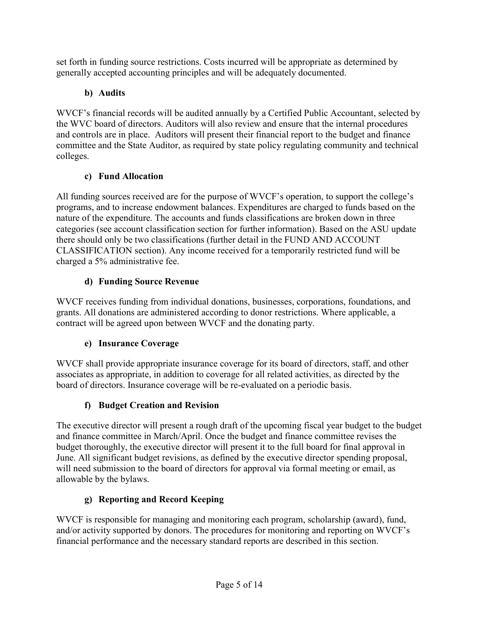set forth in funding source restrictions. Costs incurred will be appropriate as determined by generally accepted accounting principles and will be adequately documented.

# b) Audits

WVCF's financial records will be audited annually by a Certified Public Accountant, selected by the WVC board of directors. Auditors will also review and ensure that the internal procedures and controls are in place. Auditors will present their financial report to the budget and finance committee and the State Auditor, as required by state policy regulating community and technical colleges.

# c) Fund Allocation

All funding sources received are for the purpose of WVCF's operation, to support the college's programs, and to increase endowment balances. Expenditures are charged to funds based on the nature of the expenditure. The accounts and funds classifications are broken down in three categories (see account classification section for further information). Based on the ASU update there should only be two classifications (further detail in the FUND AND ACCOUNT CLASSIFICATION section). Any income received for a temporarily restricted fund will be charged a 5% administrative fee.

# d) Funding Source Revenue

WVCF receives funding from individual donations, businesses, corporations, foundations, and grants. All donations are administered according to donor restrictions. Where applicable, a contract will be agreed upon between WVCF and the donating party.

# e) Insurance Coverage

WVCF shall provide appropriate insurance coverage for its board of directors, staff, and other associates as appropriate, in addition to coverage for all related activities, as directed by the board of directors. Insurance coverage will be re-evaluated on a periodic basis.

# f) Budget Creation and Revision

The executive director will present a rough draft of the upcoming fiscal year budget to the budget and finance committee in March/April. Once the budget and finance committee revises the budget thoroughly, the executive director will present it to the full board for final approval in June. All significant budget revisions, as defined by the executive director spending proposal, will need submission to the board of directors for approval via formal meeting or email, as allowable by the bylaws.

# g) Reporting and Record Keeping

WVCF is responsible for managing and monitoring each program, scholarship (award), fund, and/or activity supported by donors. The procedures for monitoring and reporting on WVCF's financial performance and the necessary standard reports are described in this section.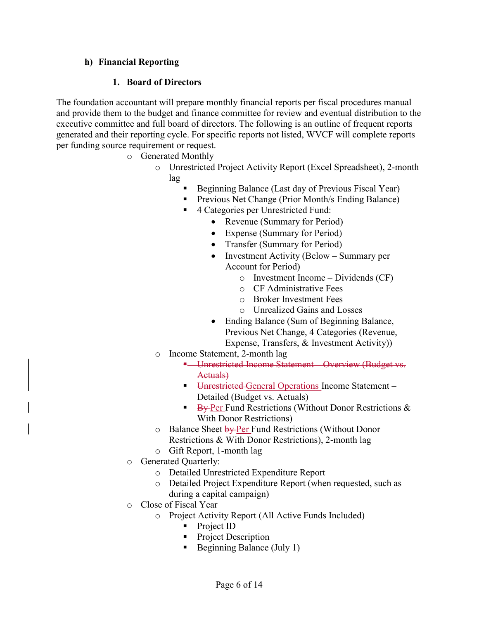#### h) Financial Reporting

#### 1. Board of Directors

The foundation accountant will prepare monthly financial reports per fiscal procedures manual and provide them to the budget and finance committee for review and eventual distribution to the executive committee and full board of directors. The following is an outline of frequent reports generated and their reporting cycle. For specific reports not listed, WVCF will complete reports per funding source requirement or request.

- o Generated Monthly
	- o Unrestricted Project Activity Report (Excel Spreadsheet), 2-month lag
		- Beginning Balance (Last day of Previous Fiscal Year)
		- **Previous Net Change (Prior Month/s Ending Balance)**
		- 4 Categories per Unrestricted Fund:
			- Revenue (Summary for Period)
			- Expense (Summary for Period)
			- Transfer (Summary for Period)
			- Investment Activity (Below Summary per Account for Period)
				- o Investment Income Dividends (CF)
				- o CF Administrative Fees
				- o Broker Investment Fees
				- o Unrealized Gains and Losses
			- Ending Balance (Sum of Beginning Balance, Previous Net Change, 4 Categories (Revenue, Expense, Transfers, & Investment Activity))
	- o Income Statement, 2-month lag
		- **-** Unrestricted Income Statement Overview (Budget vs. Actuals)
		- **Unrestricted General Operations Income Statement** Detailed (Budget vs. Actuals)
		- $\blacktriangleright$  By-Per Fund Restrictions (Without Donor Restrictions & With Donor Restrictions)
	- o Balance Sheet by Per Fund Restrictions (Without Donor Restrictions & With Donor Restrictions), 2-month lag
	- o Gift Report, 1-month lag
- o Generated Quarterly:
	- o Detailed Unrestricted Expenditure Report
	- o Detailed Project Expenditure Report (when requested, such as during a capital campaign)
- o Close of Fiscal Year
	- o Project Activity Report (All Active Funds Included)
		- Project ID
		- Project Description
		- Beginning Balance (July 1)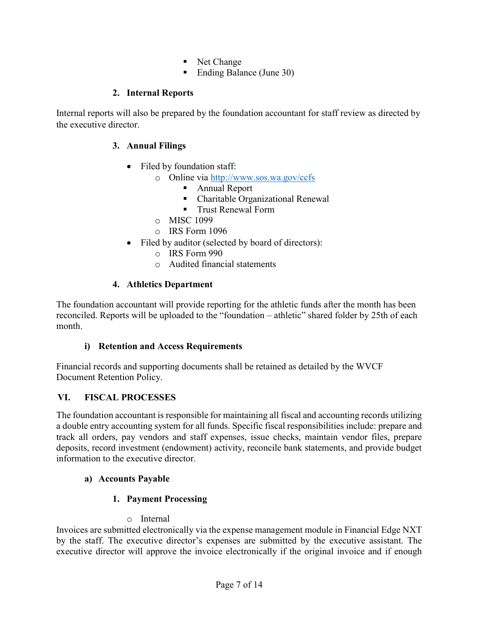- Net Change
- Ending Balance (June 30)

# 2. Internal Reports

Internal reports will also be prepared by the foundation accountant for staff review as directed by the executive director.

# 3. Annual Filings

- Filed by foundation staff:
	- o Online via http://www.sos.wa.gov/ccfs
		- Annual Report
		- Charitable Organizational Renewal
		- **Trust Renewal Form**
	- o MISC 1099
	- o IRS Form 1096
- Filed by auditor (selected by board of directors):
	- o IRS Form 990
	- o Audited financial statements

# 4. Athletics Department

The foundation accountant will provide reporting for the athletic funds after the month has been reconciled. Reports will be uploaded to the "foundation – athletic" shared folder by 25th of each month.

#### i) Retention and Access Requirements

Financial records and supporting documents shall be retained as detailed by the WVCF Document Retention Policy.

# VI. FISCAL PROCESSES

The foundation accountant is responsible for maintaining all fiscal and accounting records utilizing a double entry accounting system for all funds. Specific fiscal responsibilities include: prepare and track all orders, pay vendors and staff expenses, issue checks, maintain vendor files, prepare deposits, record investment (endowment) activity, reconcile bank statements, and provide budget information to the executive director.

# a) Accounts Payable

# 1. Payment Processing

#### o Internal

Invoices are submitted electronically via the expense management module in Financial Edge NXT by the staff. The executive director's expenses are submitted by the executive assistant. The executive director will approve the invoice electronically if the original invoice and if enough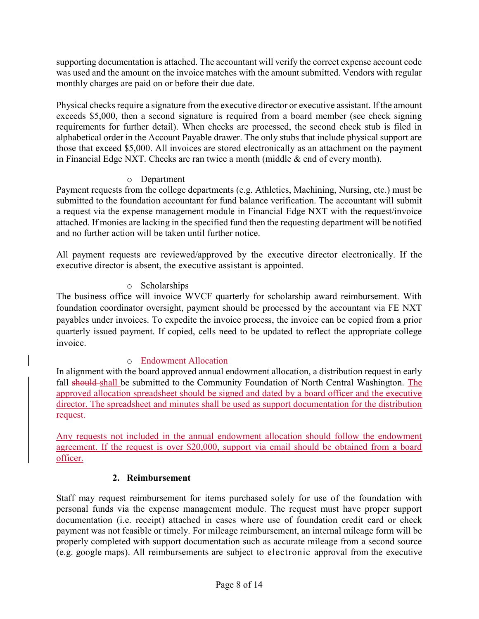supporting documentation is attached. The accountant will verify the correct expense account code was used and the amount on the invoice matches with the amount submitted. Vendors with regular monthly charges are paid on or before their due date.

Physical checks require a signature from the executive director or executive assistant. If the amount exceeds \$5,000, then a second signature is required from a board member (see check signing requirements for further detail). When checks are processed, the second check stub is filed in alphabetical order in the Account Payable drawer. The only stubs that include physical support are those that exceed \$5,000. All invoices are stored electronically as an attachment on the payment in Financial Edge NXT. Checks are ran twice a month (middle & end of every month).

### o Department

Payment requests from the college departments (e.g. Athletics, Machining, Nursing, etc.) must be submitted to the foundation accountant for fund balance verification. The accountant will submit a request via the expense management module in Financial Edge NXT with the request/invoice attached. If monies are lacking in the specified fund then the requesting department will be notified and no further action will be taken until further notice.

All payment requests are reviewed/approved by the executive director electronically. If the executive director is absent, the executive assistant is appointed.

### o Scholarships

The business office will invoice WVCF quarterly for scholarship award reimbursement. With foundation coordinator oversight, payment should be processed by the accountant via FE NXT payables under invoices. To expedite the invoice process, the invoice can be copied from a prior quarterly issued payment. If copied, cells need to be updated to reflect the appropriate college invoice.

# o Endowment Allocation

In alignment with the board approved annual endowment allocation, a distribution request in early fall should shall be submitted to the Community Foundation of North Central Washington. The approved allocation spreadsheet should be signed and dated by a board officer and the executive director. The spreadsheet and minutes shall be used as support documentation for the distribution request.

Any requests not included in the annual endowment allocation should follow the endowment agreement. If the request is over \$20,000, support via email should be obtained from a board officer.

#### 2. Reimbursement

Staff may request reimbursement for items purchased solely for use of the foundation with personal funds via the expense management module. The request must have proper support documentation (i.e. receipt) attached in cases where use of foundation credit card or check payment was not feasible or timely. For mileage reimbursement, an internal mileage form will be properly completed with support documentation such as accurate mileage from a second source (e.g. google maps). All reimbursements are subject to electronic approval from the executive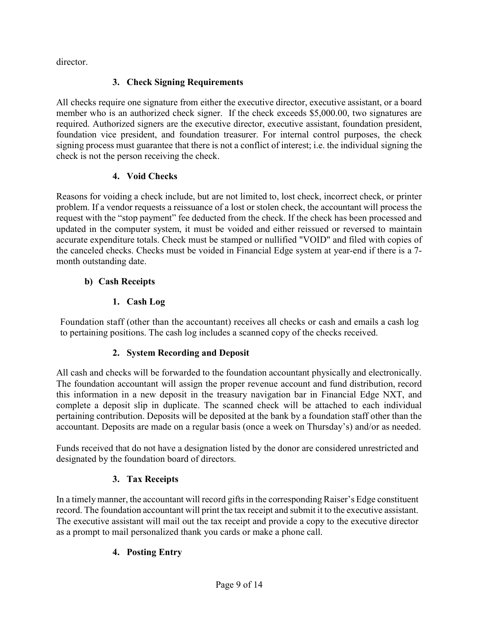director.

# 3. Check Signing Requirements

All checks require one signature from either the executive director, executive assistant, or a board member who is an authorized check signer. If the check exceeds \$5,000.00, two signatures are required. Authorized signers are the executive director, executive assistant, foundation president, foundation vice president, and foundation treasurer. For internal control purposes, the check signing process must guarantee that there is not a conflict of interest; i.e. the individual signing the check is not the person receiving the check.

# 4. Void Checks

Reasons for voiding a check include, but are not limited to, lost check, incorrect check, or printer problem. If a vendor requests a reissuance of a lost or stolen check, the accountant will process the request with the "stop payment" fee deducted from the check. If the check has been processed and updated in the computer system, it must be voided and either reissued or reversed to maintain accurate expenditure totals. Check must be stamped or nullified "VOID" and filed with copies of the canceled checks. Checks must be voided in Financial Edge system at year-end if there is a 7 month outstanding date.

# b) Cash Receipts

# 1. Cash Log

Foundation staff (other than the accountant) receives all checks or cash and emails a cash log to pertaining positions. The cash log includes a scanned copy of the checks received.

# 2. System Recording and Deposit

All cash and checks will be forwarded to the foundation accountant physically and electronically. The foundation accountant will assign the proper revenue account and fund distribution, record this information in a new deposit in the treasury navigation bar in Financial Edge NXT, and complete a deposit slip in duplicate. The scanned check will be attached to each individual pertaining contribution. Deposits will be deposited at the bank by a foundation staff other than the accountant. Deposits are made on a regular basis (once a week on Thursday's) and/or as needed.

Funds received that do not have a designation listed by the donor are considered unrestricted and designated by the foundation board of directors.

# 3. Tax Receipts

In a timely manner, the accountant will record gifts in the corresponding Raiser's Edge constituent record. The foundation accountant will print the tax receipt and submit it to the executive assistant. The executive assistant will mail out the tax receipt and provide a copy to the executive director as a prompt to mail personalized thank you cards or make a phone call.

# 4. Posting Entry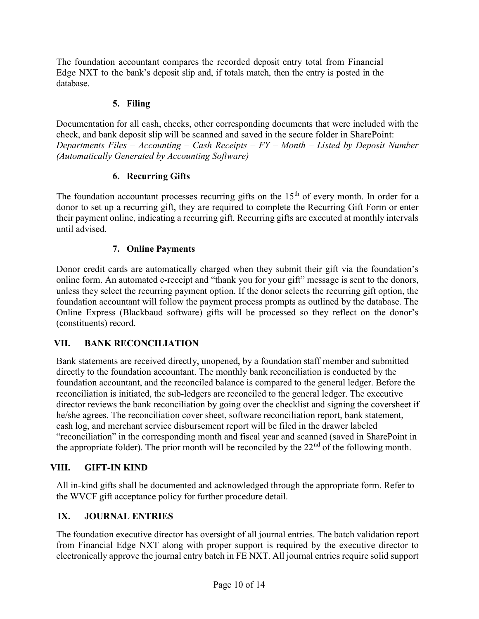The foundation accountant compares the recorded deposit entry total from Financial Edge NXT to the bank's deposit slip and, if totals match, then the entry is posted in the database.

#### 5. Filing

Documentation for all cash, checks, other corresponding documents that were included with the check, and bank deposit slip will be scanned and saved in the secure folder in SharePoint: Departments Files – Accounting – Cash Receipts –  $FY$  – Month – Listed by Deposit Number (Automatically Generated by Accounting Software)

# 6. Recurring Gifts

The foundation accountant processes recurring gifts on the  $15<sup>th</sup>$  of every month. In order for a donor to set up a recurring gift, they are required to complete the Recurring Gift Form or enter their payment online, indicating a recurring gift. Recurring gifts are executed at monthly intervals until advised.

### 7. Online Payments

Donor credit cards are automatically charged when they submit their gift via the foundation's online form. An automated e-receipt and "thank you for your gift" message is sent to the donors, unless they select the recurring payment option. If the donor selects the recurring gift option, the foundation accountant will follow the payment process prompts as outlined by the database. The Online Express (Blackbaud software) gifts will be processed so they reflect on the donor's (constituents) record.

#### VII. BANK RECONCILIATION

Bank statements are received directly, unopened, by a foundation staff member and submitted directly to the foundation accountant. The monthly bank reconciliation is conducted by the foundation accountant, and the reconciled balance is compared to the general ledger. Before the reconciliation is initiated, the sub-ledgers are reconciled to the general ledger. The executive director reviews the bank reconciliation by going over the checklist and signing the coversheet if he/she agrees. The reconciliation cover sheet, software reconciliation report, bank statement, cash log, and merchant service disbursement report will be filed in the drawer labeled "reconciliation" in the corresponding month and fiscal year and scanned (saved in SharePoint in the appropriate folder). The prior month will be reconciled by the  $22<sup>nd</sup>$  of the following month.

#### VIII. GIFT-IN KIND

All in-kind gifts shall be documented and acknowledged through the appropriate form. Refer to the WVCF gift acceptance policy for further procedure detail.

# IX. JOURNAL ENTRIES

The foundation executive director has oversight of all journal entries. The batch validation report from Financial Edge NXT along with proper support is required by the executive director to electronically approve the journal entry batch in FE NXT. All journal entries require solid support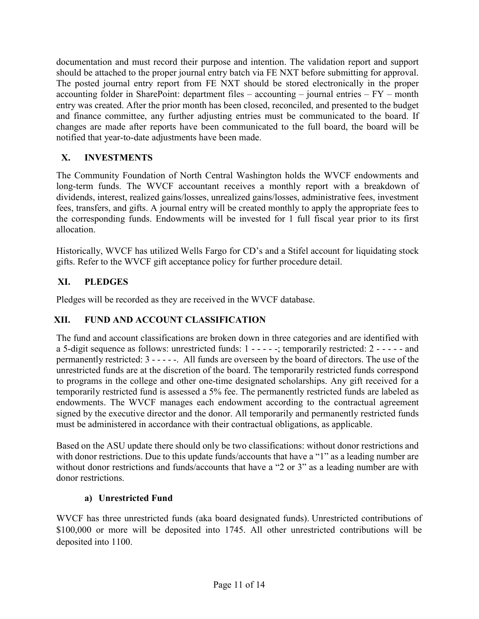documentation and must record their purpose and intention. The validation report and support should be attached to the proper journal entry batch via FE NXT before submitting for approval. The posted journal entry report from FE NXT should be stored electronically in the proper accounting folder in SharePoint: department files – accounting – journal entries – FY – month entry was created. After the prior month has been closed, reconciled, and presented to the budget and finance committee, any further adjusting entries must be communicated to the board. If changes are made after reports have been communicated to the full board, the board will be notified that year-to-date adjustments have been made.

# X. INVESTMENTS

The Community Foundation of North Central Washington holds the WVCF endowments and long-term funds. The WVCF accountant receives a monthly report with a breakdown of dividends, interest, realized gains/losses, unrealized gains/losses, administrative fees, investment fees, transfers, and gifts. A journal entry will be created monthly to apply the appropriate fees to the corresponding funds. Endowments will be invested for 1 full fiscal year prior to its first allocation.

Historically, WVCF has utilized Wells Fargo for CD's and a Stifel account for liquidating stock gifts. Refer to the WVCF gift acceptance policy for further procedure detail.

# XI. PLEDGES

Pledges will be recorded as they are received in the WVCF database.

# XII. FUND AND ACCOUNT CLASSIFICATION

The fund and account classifications are broken down in three categories and are identified with a 5-digit sequence as follows: unrestricted funds: 1 - - - - -; temporarily restricted: 2 - - - - - and permanently restricted: 3 - - - - -. All funds are overseen by the board of directors. The use of the unrestricted funds are at the discretion of the board. The temporarily restricted funds correspond to programs in the college and other one-time designated scholarships. Any gift received for a temporarily restricted fund is assessed a 5% fee. The permanently restricted funds are labeled as endowments. The WVCF manages each endowment according to the contractual agreement signed by the executive director and the donor. All temporarily and permanently restricted funds must be administered in accordance with their contractual obligations, as applicable.

Based on the ASU update there should only be two classifications: without donor restrictions and with donor restrictions. Due to this update funds/accounts that have a "1" as a leading number are without donor restrictions and funds/accounts that have a "2 or 3" as a leading number are with donor restrictions.

# a) Unrestricted Fund

WVCF has three unrestricted funds (aka board designated funds). Unrestricted contributions of \$100,000 or more will be deposited into 1745. All other unrestricted contributions will be deposited into 1100.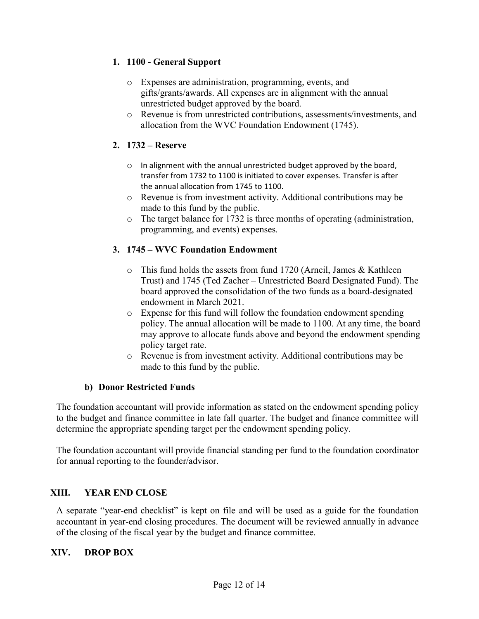### 1. 1100 - General Support

- o Expenses are administration, programming, events, and gifts/grants/awards. All expenses are in alignment with the annual unrestricted budget approved by the board.
- o Revenue is from unrestricted contributions, assessments/investments, and allocation from the WVC Foundation Endowment (1745).

### 2. 1732 – Reserve

- o In alignment with the annual unrestricted budget approved by the board, transfer from 1732 to 1100 is initiated to cover expenses. Transfer is after the annual allocation from 1745 to 1100.
- o Revenue is from investment activity. Additional contributions may be made to this fund by the public.
- o The target balance for 1732 is three months of operating (administration, programming, and events) expenses.

### 3. 1745 – WVC Foundation Endowment

- o This fund holds the assets from fund 1720 (Arneil, James & Kathleen Trust) and 1745 (Ted Zacher – Unrestricted Board Designated Fund). The board approved the consolidation of the two funds as a board-designated endowment in March 2021.
- o Expense for this fund will follow the foundation endowment spending policy. The annual allocation will be made to 1100. At any time, the board may approve to allocate funds above and beyond the endowment spending policy target rate.
- o Revenue is from investment activity. Additional contributions may be made to this fund by the public.

#### b) Donor Restricted Funds

The foundation accountant will provide information as stated on the endowment spending policy to the budget and finance committee in late fall quarter. The budget and finance committee will determine the appropriate spending target per the endowment spending policy.

The foundation accountant will provide financial standing per fund to the foundation coordinator for annual reporting to the founder/advisor.

#### XIII. YEAR END CLOSE

A separate "year-end checklist" is kept on file and will be used as a guide for the foundation accountant in year-end closing procedures. The document will be reviewed annually in advance of the closing of the fiscal year by the budget and finance committee.

#### XIV. DROP BOX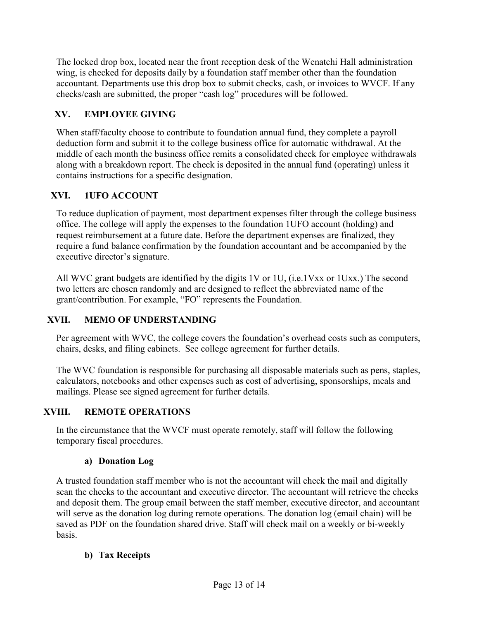The locked drop box, located near the front reception desk of the Wenatchi Hall administration wing, is checked for deposits daily by a foundation staff member other than the foundation accountant. Departments use this drop box to submit checks, cash, or invoices to WVCF. If any checks/cash are submitted, the proper "cash log" procedures will be followed.

# XV. EMPLOYEE GIVING

When staff/faculty choose to contribute to foundation annual fund, they complete a payroll deduction form and submit it to the college business office for automatic withdrawal. At the middle of each month the business office remits a consolidated check for employee withdrawals along with a breakdown report. The check is deposited in the annual fund (operating) unless it contains instructions for a specific designation.

# XVI. 1UFO ACCOUNT

To reduce duplication of payment, most department expenses filter through the college business office. The college will apply the expenses to the foundation 1UFO account (holding) and request reimbursement at a future date. Before the department expenses are finalized, they require a fund balance confirmation by the foundation accountant and be accompanied by the executive director's signature.

All WVC grant budgets are identified by the digits 1V or 1U, (i.e.1Vxx or 1Uxx.) The second two letters are chosen randomly and are designed to reflect the abbreviated name of the grant/contribution. For example, "FO" represents the Foundation.

# XVII. MEMO OF UNDERSTANDING

Per agreement with WVC, the college covers the foundation's overhead costs such as computers, chairs, desks, and filing cabinets. See college agreement for further details.

The WVC foundation is responsible for purchasing all disposable materials such as pens, staples, calculators, notebooks and other expenses such as cost of advertising, sponsorships, meals and mailings. Please see signed agreement for further details.

# XVIII. REMOTE OPERATIONS

In the circumstance that the WVCF must operate remotely, staff will follow the following temporary fiscal procedures.

# a) Donation Log

A trusted foundation staff member who is not the accountant will check the mail and digitally scan the checks to the accountant and executive director. The accountant will retrieve the checks and deposit them. The group email between the staff member, executive director, and accountant will serve as the donation log during remote operations. The donation log (email chain) will be saved as PDF on the foundation shared drive. Staff will check mail on a weekly or bi-weekly basis.

# b) Tax Receipts